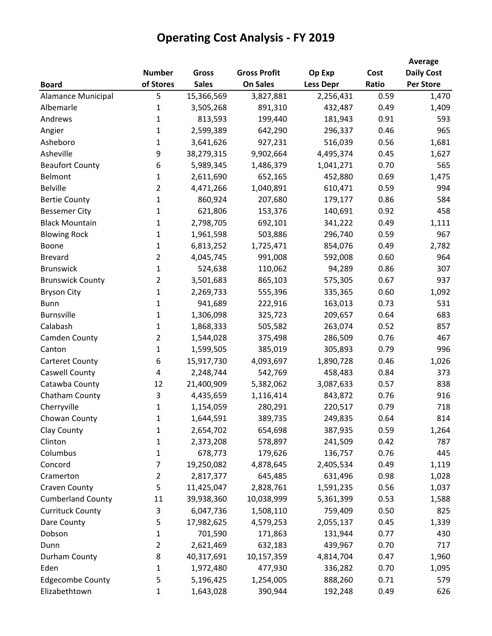|                          |                |              |                     |                  |       | Average           |
|--------------------------|----------------|--------------|---------------------|------------------|-------|-------------------|
|                          | <b>Number</b>  | <b>Gross</b> | <b>Gross Profit</b> | Op Exp           | Cost  | <b>Daily Cost</b> |
| <b>Board</b>             | of Stores      | <b>Sales</b> | <b>On Sales</b>     | <b>Less Depr</b> | Ratio | <b>Per Store</b>  |
| Alamance Municipal       | 5              | 15,366,569   | 3,827,881           | 2,256,431        | 0.59  | 1,470             |
| Albemarle                | 1              | 3,505,268    | 891,310             | 432,487          | 0.49  | 1,409             |
| Andrews                  | 1              | 813,593      | 199,440             | 181,943          | 0.91  | 593               |
| Angier                   | $\mathbf{1}$   | 2,599,389    | 642,290             | 296,337          | 0.46  | 965               |
| Asheboro                 | 1              | 3,641,626    | 927,231             | 516,039          | 0.56  | 1,681             |
| Asheville                | 9              | 38,279,315   | 9,902,664           | 4,495,374        | 0.45  | 1,627             |
| <b>Beaufort County</b>   | 6              | 5,989,345    | 1,486,379           | 1,041,271        | 0.70  | 565               |
| Belmont                  | 1              | 2,611,690    | 652,165             | 452,880          | 0.69  | 1,475             |
| <b>Belville</b>          | 2              | 4,471,266    | 1,040,891           | 610,471          | 0.59  | 994               |
| <b>Bertie County</b>     | $\mathbf{1}$   | 860,924      | 207,680             | 179,177          | 0.86  | 584               |
| <b>Bessemer City</b>     | $\mathbf{1}$   | 621,806      | 153,376             | 140,691          | 0.92  | 458               |
| <b>Black Mountain</b>    | 1              | 2,798,705    | 692,101             | 341,222          | 0.49  | 1,111             |
| <b>Blowing Rock</b>      | 1              | 1,961,598    | 503,886             | 296,740          | 0.59  | 967               |
| Boone                    | $\mathbf{1}$   | 6,813,252    | 1,725,471           | 854,076          | 0.49  | 2,782             |
| <b>Brevard</b>           | $\overline{2}$ | 4,045,745    | 991,008             | 592,008          | 0.60  | 964               |
| <b>Brunswick</b>         | $\mathbf{1}$   | 524,638      | 110,062             | 94,289           | 0.86  | 307               |
| <b>Brunswick County</b>  | $\overline{2}$ | 3,501,683    | 865,103             | 575,305          | 0.67  | 937               |
| <b>Bryson City</b>       | 1              | 2,269,733    | 555,396             | 335,365          | 0.60  | 1,092             |
| <b>Bunn</b>              | 1              | 941,689      | 222,916             | 163,013          | 0.73  | 531               |
| <b>Burnsville</b>        | 1              | 1,306,098    | 325,723             | 209,657          | 0.64  | 683               |
| Calabash                 | 1              | 1,868,333    | 505,582             | 263,074          | 0.52  | 857               |
| Camden County            | $\overline{2}$ | 1,544,028    | 375,498             | 286,509          | 0.76  | 467               |
| Canton                   | $\mathbf{1}$   | 1,599,505    | 385,019             | 305,893          | 0.79  | 996               |
| <b>Carteret County</b>   | 6              | 15,917,730   | 4,093,697           | 1,890,728        | 0.46  | 1,026             |
| Caswell County           | 4              | 2,248,744    | 542,769             | 458,483          | 0.84  | 373               |
| Catawba County           | 12             | 21,400,909   | 5,382,062           | 3,087,633        | 0.57  | 838               |
| Chatham County           | 3              | 4,435,659    | 1,116,414           | 843,872          | 0.76  | 916               |
| Cherryville              | 1              | 1,154,059    | 280,291             | 220,517          | 0.79  | 718               |
| Chowan County            | $\mathbf 1$    | 1,644,591    | 389,735             | 249,835          | 0.64  | 814               |
| Clay County              | 1              | 2,654,702    | 654,698             | 387,935          | 0.59  | 1,264             |
| Clinton                  | $\mathbf{1}$   | 2,373,208    | 578,897             | 241,509          | 0.42  | 787               |
| Columbus                 | $\mathbf{1}$   | 678,773      | 179,626             | 136,757          | 0.76  | 445               |
| Concord                  | 7              | 19,250,082   | 4,878,645           | 2,405,534        | 0.49  | 1,119             |
| Cramerton                | $\overline{2}$ | 2,817,377    | 645,485             | 631,496          | 0.98  | 1,028             |
| Craven County            | 5              | 11,425,047   | 2,828,761           | 1,591,235        | 0.56  | 1,037             |
| <b>Cumberland County</b> | 11             | 39,938,360   | 10,038,999          | 5,361,399        | 0.53  | 1,588             |
| <b>Currituck County</b>  | 3              | 6,047,736    | 1,508,110           | 759,409          | 0.50  | 825               |
| Dare County              | 5              | 17,982,625   | 4,579,253           | 2,055,137        | 0.45  | 1,339             |
| Dobson                   | 1              | 701,590      | 171,863             | 131,944          | 0.77  | 430               |
| Dunn                     | $\overline{2}$ | 2,621,469    | 632,183             | 439,967          | 0.70  | 717               |
| Durham County            | 8              | 40,317,691   | 10,157,359          | 4,814,704        | 0.47  | 1,960             |
| Eden                     | $\mathbf{1}$   | 1,972,480    | 477,930             | 336,282          | 0.70  | 1,095             |
| <b>Edgecombe County</b>  | 5              | 5,196,425    | 1,254,005           | 888,260          | 0.71  | 579               |
| Elizabethtown            | $\mathbf{1}$   | 1,643,028    | 390,944             | 192,248          | 0.49  | 626               |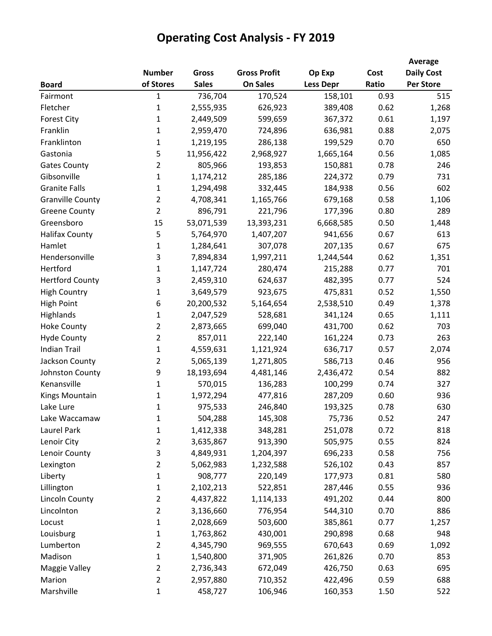|                         |                |              |                     |                  |       | Average           |
|-------------------------|----------------|--------------|---------------------|------------------|-------|-------------------|
|                         | <b>Number</b>  | <b>Gross</b> | <b>Gross Profit</b> | Op Exp           | Cost  | <b>Daily Cost</b> |
| <b>Board</b>            | of Stores      | <b>Sales</b> | <b>On Sales</b>     | <b>Less Depr</b> | Ratio | <b>Per Store</b>  |
| Fairmont                | 1              | 736,704      | 170,524             | 158,101          | 0.93  | 515               |
| Fletcher                | 1              | 2,555,935    | 626,923             | 389,408          | 0.62  | 1,268             |
| <b>Forest City</b>      | 1              | 2,449,509    | 599,659             | 367,372          | 0.61  | 1,197             |
| Franklin                | $\mathbf{1}$   | 2,959,470    | 724,896             | 636,981          | 0.88  | 2,075             |
| Franklinton             | 1              | 1,219,195    | 286,138             | 199,529          | 0.70  | 650               |
| Gastonia                | 5              | 11,956,422   | 2,968,927           | 1,665,164        | 0.56  | 1,085             |
| <b>Gates County</b>     | $\overline{2}$ | 805,966      | 193,853             | 150,881          | 0.78  | 246               |
| Gibsonville             | $\mathbf{1}$   | 1,174,212    | 285,186             | 224,372          | 0.79  | 731               |
| <b>Granite Falls</b>    | $\mathbf{1}$   | 1,294,498    | 332,445             | 184,938          | 0.56  | 602               |
| <b>Granville County</b> | $\overline{2}$ | 4,708,341    | 1,165,766           | 679,168          | 0.58  | 1,106             |
| <b>Greene County</b>    | $\overline{2}$ | 896,791      | 221,796             | 177,396          | 0.80  | 289               |
| Greensboro              | 15             | 53,071,539   | 13,393,231          | 6,668,585        | 0.50  | 1,448             |
| <b>Halifax County</b>   | 5              | 5,764,970    | 1,407,207           | 941,656          | 0.67  | 613               |
| Hamlet                  | $\mathbf{1}$   | 1,284,641    | 307,078             | 207,135          | 0.67  | 675               |
| Hendersonville          | 3              | 7,894,834    | 1,997,211           | 1,244,544        | 0.62  | 1,351             |
| Hertford                | $\mathbf{1}$   | 1,147,724    | 280,474             | 215,288          | 0.77  | 701               |
| <b>Hertford County</b>  | 3              | 2,459,310    | 624,637             | 482,395          | 0.77  | 524               |
| <b>High Country</b>     | $\mathbf{1}$   | 3,649,579    | 923,675             | 475,831          | 0.52  | 1,550             |
| <b>High Point</b>       | 6              | 20,200,532   | 5,164,654           | 2,538,510        | 0.49  | 1,378             |
| Highlands               | 1              | 2,047,529    | 528,681             | 341,124          | 0.65  | 1,111             |
| <b>Hoke County</b>      | $\overline{2}$ | 2,873,665    | 699,040             | 431,700          | 0.62  | 703               |
| <b>Hyde County</b>      | $\overline{2}$ | 857,011      | 222,140             | 161,224          | 0.73  | 263               |
| <b>Indian Trail</b>     | $\mathbf{1}$   | 4,559,631    | 1,121,924           | 636,717          | 0.57  | 2,074             |
| Jackson County          | $\overline{2}$ | 5,065,139    | 1,271,805           | 586,713          | 0.46  | 956               |
| Johnston County         | 9              | 18,193,694   | 4,481,146           | 2,436,472        | 0.54  | 882               |
| Kenansville             | 1              | 570,015      | 136,283             | 100,299          | 0.74  | 327               |
| Kings Mountain          | $\mathbf{1}$   | 1,972,294    | 477,816             | 287,209          | 0.60  | 936               |
| Lake Lure               | $\mathbf{1}$   | 975,533      | 246,840             | 193,325          | 0.78  | 630               |
| Lake Waccamaw           | 1              | 504,288      | 145,308             | 75,736           | 0.52  | 247               |
| Laurel Park             | $\mathbf{1}$   | 1,412,338    | 348,281             | 251,078          | 0.72  | 818               |
| Lenoir City             | $\overline{2}$ | 3,635,867    | 913,390             | 505,975          | 0.55  | 824               |
| Lenoir County           | 3              | 4,849,931    | 1,204,397           | 696,233          | 0.58  | 756               |
| Lexington               | $\overline{2}$ | 5,062,983    | 1,232,588           | 526,102          | 0.43  | 857               |
| Liberty                 | $\mathbf 1$    | 908,777      | 220,149             | 177,973          | 0.81  | 580               |
| Lillington              | $\mathbf{1}$   | 2,102,213    | 522,851             | 287,446          | 0.55  | 936               |
| Lincoln County          | $\overline{2}$ | 4,437,822    | 1,114,133           | 491,202          | 0.44  | 800               |
| Lincolnton              | $\overline{2}$ | 3,136,660    | 776,954             | 544,310          | 0.70  | 886               |
| Locust                  | $\mathbf{1}$   | 2,028,669    | 503,600             | 385,861          | 0.77  | 1,257             |
| Louisburg               | $\mathbf{1}$   | 1,763,862    | 430,001             | 290,898          | 0.68  | 948               |
| Lumberton               | $\overline{2}$ | 4,345,790    | 969,555             | 670,643          | 0.69  | 1,092             |
| Madison                 | $\mathbf 1$    | 1,540,800    | 371,905             | 261,826          | 0.70  | 853               |
| Maggie Valley           | $\overline{2}$ | 2,736,343    | 672,049             | 426,750          | 0.63  | 695               |
| Marion                  | $\overline{2}$ | 2,957,880    | 710,352             | 422,496          | 0.59  | 688               |
| Marshville              | $\mathbf{1}$   | 458,727      | 106,946             | 160,353          | 1.50  | 522               |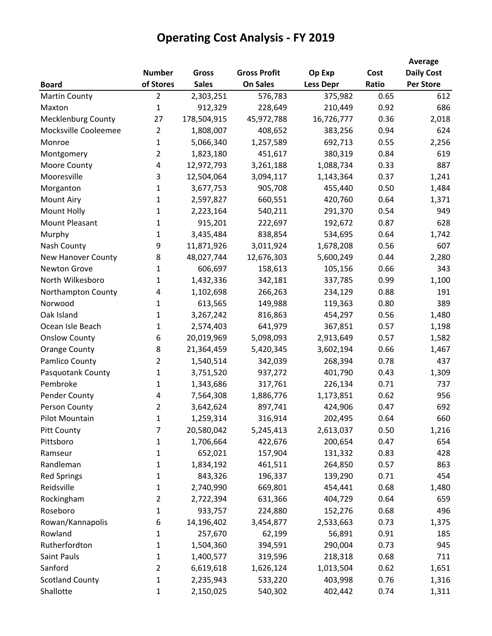|                           |                |              |                     |                  |       | Average           |
|---------------------------|----------------|--------------|---------------------|------------------|-------|-------------------|
|                           | <b>Number</b>  | Gross        | <b>Gross Profit</b> | Op Exp           | Cost  | <b>Daily Cost</b> |
| <b>Board</b>              | of Stores      | <b>Sales</b> | <b>On Sales</b>     | <b>Less Depr</b> | Ratio | <b>Per Store</b>  |
| <b>Martin County</b>      | $\overline{2}$ | 2,303,251    | 576,783             | 375,982          | 0.65  | 612               |
| Maxton                    | 1              | 912,329      | 228,649             | 210,449          | 0.92  | 686               |
| <b>Mecklenburg County</b> | 27             | 178,504,915  | 45,972,788          | 16,726,777       | 0.36  | 2,018             |
| Mocksville Cooleemee      | $\overline{2}$ | 1,808,007    | 408,652             | 383,256          | 0.94  | 624               |
| Monroe                    | 1              | 5,066,340    | 1,257,589           | 692,713          | 0.55  | 2,256             |
| Montgomery                | $\overline{2}$ | 1,823,180    | 451,617             | 380,319          | 0.84  | 619               |
| Moore County              | 4              | 12,972,793   | 3,261,188           | 1,088,734        | 0.33  | 887               |
| Mooresville               | 3              | 12,504,064   | 3,094,117           | 1,143,364        | 0.37  | 1,241             |
| Morganton                 | $\mathbf{1}$   | 3,677,753    | 905,708             | 455,440          | 0.50  | 1,484             |
| <b>Mount Airy</b>         | $\mathbf{1}$   | 2,597,827    | 660,551             | 420,760          | 0.64  | 1,371             |
| Mount Holly               | $\mathbf{1}$   | 2,223,164    | 540,211             | 291,370          | 0.54  | 949               |
| Mount Pleasant            | 1              | 915,201      | 222,697             | 192,672          | 0.87  | 628               |
| Murphy                    | 1              | 3,435,484    | 838,854             | 534,695          | 0.64  | 1,742             |
| Nash County               | 9              | 11,871,926   | 3,011,924           | 1,678,208        | 0.56  | 607               |
| <b>New Hanover County</b> | 8              | 48,027,744   | 12,676,303          | 5,600,249        | 0.44  | 2,280             |
| Newton Grove              | 1              | 606,697      | 158,613             | 105,156          | 0.66  | 343               |
| North Wilkesboro          | 1              | 1,432,336    | 342,181             | 337,785          | 0.99  | 1,100             |
| Northampton County        | 4              | 1,102,698    | 266,263             | 234,129          | 0.88  | 191               |
| Norwood                   | $\mathbf{1}$   | 613,565      | 149,988             | 119,363          | 0.80  | 389               |
| Oak Island                | 1              | 3,267,242    | 816,863             | 454,297          | 0.56  | 1,480             |
| Ocean Isle Beach          | 1              | 2,574,403    | 641,979             | 367,851          | 0.57  | 1,198             |
| <b>Onslow County</b>      | 6              | 20,019,969   | 5,098,093           | 2,913,649        | 0.57  | 1,582             |
| <b>Orange County</b>      | 8              | 21,364,459   | 5,420,345           | 3,602,194        | 0.66  | 1,467             |
| Pamlico County            | $\overline{2}$ | 1,540,514    | 342,039             | 268,394          | 0.78  | 437               |
| Pasquotank County         | 1              | 3,751,520    | 937,272             | 401,790          | 0.43  | 1,309             |
| Pembroke                  | 1              | 1,343,686    | 317,761             | 226,134          | 0.71  | 737               |
| Pender County             | 4              | 7,564,308    | 1,886,776           | 1,173,851        | 0.62  | 956               |
| Person County             | $\overline{2}$ | 3,642,624    | 897,741             | 424,906          | 0.47  | 692               |
| Pilot Mountain            | 1              | 1,259,314    | 316,914             | 202,495          | 0.64  | 660               |
| <b>Pitt County</b>        | 7              | 20,580,042   | 5,245,413           | 2,613,037        | 0.50  | 1,216             |
| Pittsboro                 | $\mathbf{1}$   | 1,706,664    | 422,676             | 200,654          | 0.47  | 654               |
| Ramseur                   | $\mathbf{1}$   | 652,021      | 157,904             | 131,332          | 0.83  | 428               |
| Randleman                 | $\mathbf{1}$   | 1,834,192    | 461,511             | 264,850          | 0.57  | 863               |
| <b>Red Springs</b>        | $\mathbf{1}$   | 843,326      | 196,337             | 139,290          | 0.71  | 454               |
| Reidsville                | 1              | 2,740,990    | 669,801             | 454,441          | 0.68  | 1,480             |
| Rockingham                | $\overline{2}$ | 2,722,394    | 631,366             | 404,729          | 0.64  | 659               |
| Roseboro                  | $\mathbf{1}$   | 933,757      | 224,880             | 152,276          | 0.68  | 496               |
| Rowan/Kannapolis          | 6              | 14,196,402   | 3,454,877           | 2,533,663        | 0.73  | 1,375             |
| Rowland                   | 1              | 257,670      | 62,199              | 56,891           | 0.91  | 185               |
| Rutherfordton             | 1              | 1,504,360    | 394,591             | 290,004          | 0.73  | 945               |
| Saint Pauls               | $\mathbf{1}$   | 1,400,577    | 319,596             | 218,318          | 0.68  | 711               |
| Sanford                   | $\overline{2}$ | 6,619,618    | 1,626,124           | 1,013,504        | 0.62  | 1,651             |
| <b>Scotland County</b>    | 1              | 2,235,943    | 533,220             | 403,998          | 0.76  | 1,316             |
| Shallotte                 | 1              | 2,150,025    | 540,302             | 402,442          | 0.74  | 1,311             |